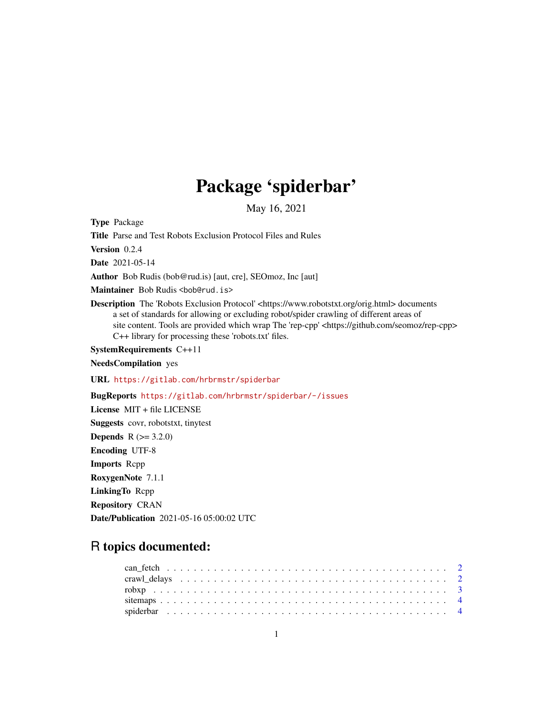## Package 'spiderbar'

May 16, 2021

Type Package

Title Parse and Test Robots Exclusion Protocol Files and Rules

Version 0.2.4

Date 2021-05-14

Author Bob Rudis (bob@rud.is) [aut, cre], SEOmoz, Inc [aut]

Maintainer Bob Rudis <br/>bob@rud.is>

Description The 'Robots Exclusion Protocol' <https://www.robotstxt.org/orig.html> documents a set of standards for allowing or excluding robot/spider crawling of different areas of site content. Tools are provided which wrap The 'rep-cpp' <https://github.com/seomoz/rep-cpp> C++ library for processing these 'robots.txt' files.

SystemRequirements C++11

NeedsCompilation yes

URL <https://gitlab.com/hrbrmstr/spiderbar>

BugReports <https://gitlab.com/hrbrmstr/spiderbar/-/issues>

License MIT + file LICENSE Suggests covr, robotstxt, tinytest **Depends** R  $(>= 3.2.0)$ Encoding UTF-8 Imports Rcpp RoxygenNote 7.1.1 LinkingTo Rcpp Repository CRAN Date/Publication 2021-05-16 05:00:02 UTC

### R topics documented: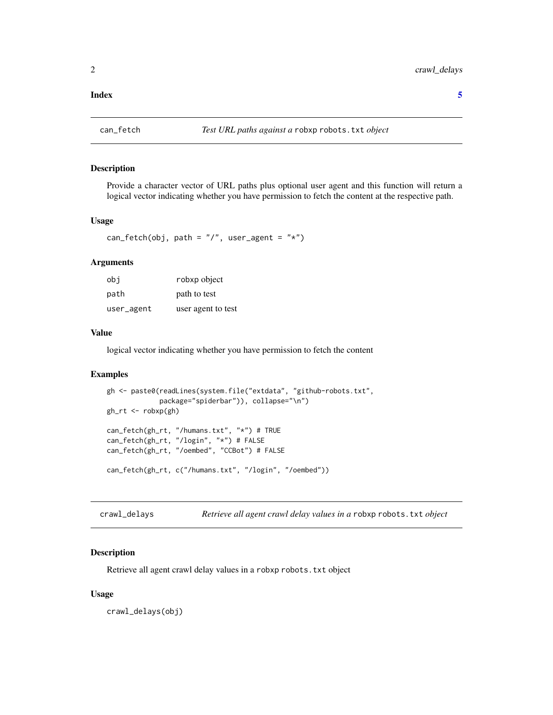#### <span id="page-1-0"></span>**Index** [5](#page-4-0). The second state of the second state of the second state of the second state of the second state of the second state of the second state of the second state of the second state of the second state of the second

#### Description

Provide a character vector of URL paths plus optional user agent and this function will return a logical vector indicating whether you have permission to fetch the content at the respective path.

#### Usage

```
can_fetch(obj, path = ''/, user_agent = ''*)
```
#### Arguments

| obi        | robxp object       |
|------------|--------------------|
| path       | path to test       |
| user_agent | user agent to test |

#### Value

logical vector indicating whether you have permission to fetch the content

#### Examples

```
gh <- paste0(readLines(system.file("extdata", "github-robots.txt",
             package="spiderbar")), collapse="\n")
gh_rt <- robxp(gh)
can_fetch(gh_rt, "/humans.txt", "*") # TRUE
can_fetch(gh_rt, "/login", "*") # FALSE
can_fetch(gh_rt, "/oembed", "CCBot") # FALSE
can_fetch(gh_rt, c("/humans.txt", "/login", "/oembed"))
```
crawl\_delays *Retrieve all agent crawl delay values in a* robxp robots.txt *object*

#### Description

Retrieve all agent crawl delay values in a robxp robots.txt object

#### Usage

crawl\_delays(obj)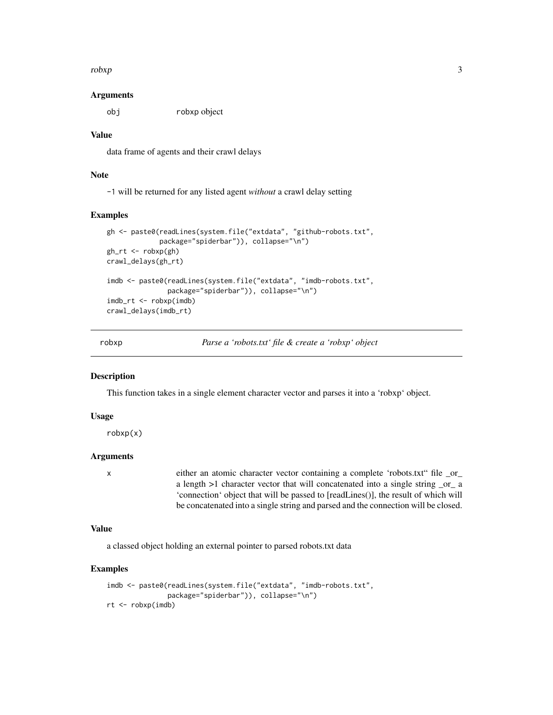<span id="page-2-0"></span> $r^{3}$ 

#### Arguments

obj robxp object

#### Value

data frame of agents and their crawl delays

#### Note

-1 will be returned for any listed agent *without* a crawl delay setting

#### Examples

```
gh <- paste0(readLines(system.file("extdata", "github-robots.txt",
             package="spiderbar")), collapse="\n")
gh_{r}t <- robxp(gh)crawl_delays(gh_rt)
imdb <- paste0(readLines(system.file("extdata", "imdb-robots.txt",
               package="spiderbar")), collapse="\n")
imdb_rt <- robxp(imdb)
crawl_delays(imdb_rt)
```
robxp *Parse a 'robots.txt' file & create a 'robxp' object*

#### Description

This function takes in a single element character vector and parses it into a 'robxp' object.

#### Usage

robxp(x)

#### Arguments

x either an atomic character vector containing a complete 'robots.txt" file \_or\_ a length >1 character vector that will concatenated into a single string \_or\_ a 'connection' object that will be passed to [readLines()], the result of which will be concatenated into a single string and parsed and the connection will be closed.

#### Value

a classed object holding an external pointer to parsed robots.txt data

#### Examples

```
imdb <- paste0(readLines(system.file("extdata", "imdb-robots.txt",
               package="spiderbar")), collapse="\n")
rt <- robxp(imdb)
```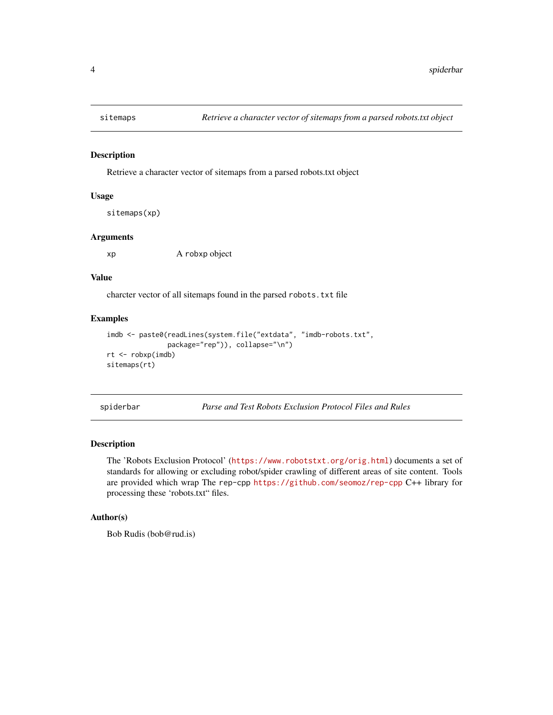<span id="page-3-0"></span>

#### Description

Retrieve a character vector of sitemaps from a parsed robots.txt object

#### Usage

```
sitemaps(xp)
```
#### Arguments

xp A robxp object

#### Value

charcter vector of all sitemaps found in the parsed robots.txt file

#### Examples

```
imdb <- paste0(readLines(system.file("extdata", "imdb-robots.txt",
               package="rep")), collapse="\n")
rt <- robxp(imdb)
sitemaps(rt)
```
spiderbar *Parse and Test Robots Exclusion Protocol Files and Rules*

#### Description

The 'Robots Exclusion Protocol' (<https://www.robotstxt.org/orig.html>) documents a set of standards for allowing or excluding robot/spider crawling of different areas of site content. Tools are provided which wrap The rep-cpp <https://github.com/seomoz/rep-cpp> C++ library for processing these 'robots.txt" files.

#### Author(s)

Bob Rudis (bob@rud.is)